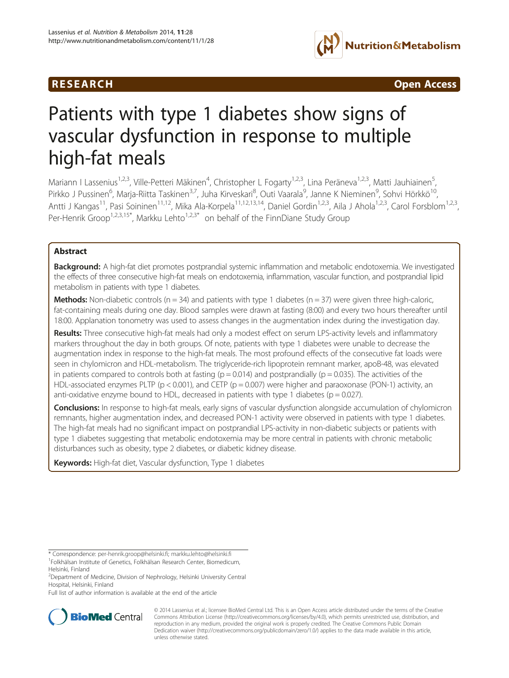## **RESEARCH RESEARCH** *CONSERVERSEARCH CODERNESS <b>CODERNESS*



# Patients with type 1 diabetes show signs of vascular dysfunction in response to multiple high-fat meals

Mariann I Lassenius<sup>1,2,3</sup>, Ville-Petteri Mäkinen<sup>4</sup>, Christopher L Fogarty<sup>1,2,3</sup>, Lina Peräneva<sup>1,2,3</sup>, Matti Jauhiainen<sup>5</sup> , Pirkko J Pussinen<sup>6</sup>, Marja-Riitta Taskinen<sup>3,7</sup>, Juha Kirveskari<sup>8</sup>, Outi Vaarala<sup>9</sup>, Janne K Nieminen<sup>9</sup>, Sohvi Hörkkö<sup>10</sup>, Antti J Kangas<sup>11</sup>, Pasi Soininen<sup>11,12</sup>, Mika Ala-Korpela<sup>11,12,13,14</sup>, Daniel Gordin<sup>1,2,3</sup>, Aila J Ahola<sup>1,2,3</sup>, Carol Forsblom<sup>1,2,3</sup>, Per-Henrik Groop<sup>1,2,3,15\*</sup>, Markku Lehto<sup>1,2,3\*</sup> on behalf of the FinnDiane Study Group

## Abstract

Background: A high-fat diet promotes postprandial systemic inflammation and metabolic endotoxemia. We investigated the effects of three consecutive high-fat meals on endotoxemia, inflammation, vascular function, and postprandial lipid metabolism in patients with type 1 diabetes.

**Methods:** Non-diabetic controls ( $n = 34$ ) and patients with type 1 diabetes ( $n = 37$ ) were given three high-caloric, fat-containing meals during one day. Blood samples were drawn at fasting (8:00) and every two hours thereafter until 18:00. Applanation tonometry was used to assess changes in the augmentation index during the investigation day.

Results: Three consecutive high-fat meals had only a modest effect on serum LPS-activity levels and inflammatory markers throughout the day in both groups. Of note, patients with type 1 diabetes were unable to decrease the augmentation index in response to the high-fat meals. The most profound effects of the consecutive fat loads were seen in chylomicron and HDL-metabolism. The triglyceride-rich lipoprotein remnant marker, apoB-48, was elevated in patients compared to controls both at fasting ( $p = 0.014$ ) and postprandially ( $p = 0.035$ ). The activities of the HDL-associated enzymes PLTP (p < 0.001), and CETP (p = 0.007) were higher and paraoxonase (PON-1) activity, an anti-oxidative enzyme bound to HDL, decreased in patients with type 1 diabetes ( $p = 0.027$ ).

Conclusions: In response to high-fat meals, early signs of vascular dysfunction alongside accumulation of chylomicron remnants, higher augmentation index, and decreased PON-1 activity were observed in patients with type 1 diabetes. The high-fat meals had no significant impact on postprandial LPS-activity in non-diabetic subjects or patients with type 1 diabetes suggesting that metabolic endotoxemia may be more central in patients with chronic metabolic disturbances such as obesity, type 2 diabetes, or diabetic kidney disease.

Keywords: High-fat diet, Vascular dysfunction, Type 1 diabetes

Full list of author information is available at the end of the article



© 2014 Lassenius et al.; licensee BioMed Central Ltd. This is an Open Access article distributed under the terms of the Creative Commons Attribution License [\(http://creativecommons.org/licenses/by/4.0\)](http://creativecommons.org/licenses/by/4.0), which permits unrestricted use, distribution, and reproduction in any medium, provided the original work is properly credited. The Creative Commons Public Domain Dedication waiver [\(http://creativecommons.org/publicdomain/zero/1.0/](http://creativecommons.org/publicdomain/zero/1.0/)) applies to the data made available in this article, unless otherwise stated.

<sup>\*</sup> Correspondence: [per-henrik.groop@helsinki.fi;](mailto:per-henrik.groop@helsinki.fi) [markku.lehto@helsinki.fi](mailto:markku.lehto@helsinki.fi) <sup>1</sup> <sup>1</sup>Folkhälsan Institute of Genetics, Folkhälsan Research Center, Biomedicum, Helsinki, Finland

<sup>&</sup>lt;sup>2</sup>Department of Medicine, Division of Nephrology, Helsinki University Central Hospital, Helsinki, Finland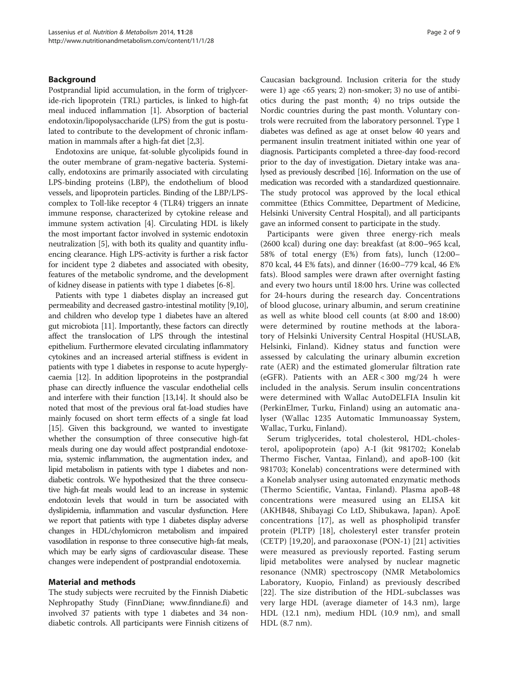## Background

Postprandial lipid accumulation, in the form of triglyceride-rich lipoprotein (TRL) particles, is linked to high-fat meal induced inflammation [\[1\]](#page-7-0). Absorption of bacterial endotoxin/lipopolysaccharide (LPS) from the gut is postulated to contribute to the development of chronic inflammation in mammals after a high-fat diet [\[2,3\]](#page-7-0).

Endotoxins are unique, fat-soluble glycolipids found in the outer membrane of gram-negative bacteria. Systemically, endotoxins are primarily associated with circulating LPS-binding proteins (LBP), the endothelium of blood vessels, and lipoprotein particles. Binding of the LBP/LPScomplex to Toll-like receptor 4 (TLR4) triggers an innate immune response, characterized by cytokine release and immune system activation [\[4\]](#page-7-0). Circulating HDL is likely the most important factor involved in systemic endotoxin neutralization [\[5\]](#page-7-0), with both its quality and quantity influencing clearance. High LPS-activity is further a risk factor for incident type 2 diabetes and associated with obesity, features of the metabolic syndrome, and the development of kidney disease in patients with type 1 diabetes [\[6](#page-7-0)-[8\]](#page-7-0).

Patients with type 1 diabetes display an increased gut permeability and decreased gastro-intestinal motility [\[9,10](#page-7-0)], and children who develop type 1 diabetes have an altered gut microbiota [\[11\]](#page-7-0). Importantly, these factors can directly affect the translocation of LPS through the intestinal epithelium. Furthermore elevated circulating inflammatory cytokines and an increased arterial stiffness is evident in patients with type 1 diabetes in response to acute hyperglycaemia [[12](#page-7-0)]. In addition lipoproteins in the postprandial phase can directly influence the vascular endothelial cells and interfere with their function [\[13,14](#page-7-0)]. It should also be noted that most of the previous oral fat-load studies have mainly focused on short term effects of a single fat load [[15](#page-7-0)]. Given this background, we wanted to investigate whether the consumption of three consecutive high-fat meals during one day would affect postprandial endotoxemia, systemic inflammation, the augmentation index, and lipid metabolism in patients with type 1 diabetes and nondiabetic controls. We hypothesized that the three consecutive high-fat meals would lead to an increase in systemic endotoxin levels that would in turn be associated with dyslipidemia, inflammation and vascular dysfunction. Here we report that patients with type 1 diabetes display adverse changes in HDL/chylomicron metabolism and impaired vasodilation in response to three consecutive high-fat meals, which may be early signs of cardiovascular disease. These changes were independent of postprandial endotoxemia.

## Material and methods

The study subjects were recruited by the Finnish Diabetic Nephropathy Study (FinnDiane; [www.finndiane.fi\)](http://www.finndiane.fi) and involved 37 patients with type 1 diabetes and 34 nondiabetic controls. All participants were Finnish citizens of Caucasian background. Inclusion criteria for the study were 1) age <65 years; 2) non-smoker; 3) no use of antibiotics during the past month; 4) no trips outside the Nordic countries during the past month. Voluntary controls were recruited from the laboratory personnel. Type 1 diabetes was defined as age at onset below 40 years and permanent insulin treatment initiated within one year of diagnosis. Participants completed a three-day food-record prior to the day of investigation. Dietary intake was analysed as previously described [\[16](#page-7-0)]. Information on the use of medication was recorded with a standardized questionnaire. The study protocol was approved by the local ethical committee (Ethics Committee, Department of Medicine, Helsinki University Central Hospital), and all participants gave an informed consent to participate in the study.

Participants were given three energy-rich meals (2600 kcal) during one day: breakfast (at 8:00–965 kcal, 58% of total energy (E%) from fats), lunch (12:00– 870 kcal, 44 E% fats), and dinner (16:00–779 kcal, 46 E% fats). Blood samples were drawn after overnight fasting and every two hours until 18:00 hrs. Urine was collected for 24-hours during the research day. Concentrations of blood glucose, urinary albumin, and serum creatinine as well as white blood cell counts (at 8:00 and 18:00) were determined by routine methods at the laboratory of Helsinki University Central Hospital (HUSLAB, Helsinki, Finland). Kidney status and function were assessed by calculating the urinary albumin excretion rate (AER) and the estimated glomerular filtration rate (eGFR). Patients with an  $AER < 300$  mg/24 h were included in the analysis. Serum insulin concentrations were determined with Wallac AutoDELFIA Insulin kit (PerkinElmer, Turku, Finland) using an automatic analyser (Wallac 1235 Automatic Immunoassay System, Wallac, Turku, Finland).

Serum triglycerides, total cholesterol, HDL-cholesterol, apolipoprotein (apo) A-I (kit 981702; Konelab Thermo Fischer, Vantaa, Finland), and apoB-100 (kit 981703; Konelab) concentrations were determined with a Konelab analyser using automated enzymatic methods (Thermo Scientific, Vantaa, Finland). Plasma apoB-48 concentrations were measured using an ELISA kit (AKHB48, Shibayagi Co LtD, Shibukawa, Japan). ApoE concentrations [\[17](#page-7-0)], as well as phospholipid transfer protein (PLTP) [[18\]](#page-7-0), cholesteryl ester transfer protein (CETP) [[19,20\]](#page-7-0), and paraoxonase (PON-1) [\[21](#page-8-0)] activities were measured as previously reported. Fasting serum lipid metabolites were analysed by nuclear magnetic resonance (NMR) spectroscopy (NMR Metabolomics Laboratory, Kuopio, Finland) as previously described [[22\]](#page-8-0). The size distribution of the HDL-subclasses was very large HDL (average diameter of 14.3 nm), large HDL (12.1 nm), medium HDL (10.9 nm), and small HDL (8.7 nm).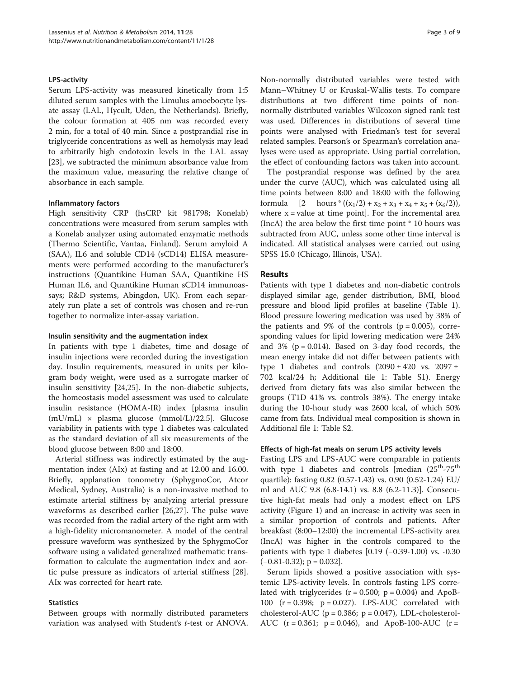## LPS-activity

Serum LPS-activity was measured kinetically from 1:5 diluted serum samples with the Limulus amoebocyte lysate assay (LAL, Hycult, Uden, the Netherlands). Briefly, the colour formation at 405 nm was recorded every 2 min, for a total of 40 min. Since a postprandial rise in triglyceride concentrations as well as hemolysis may lead to arbitrarily high endotoxin levels in the LAL assay [[23\]](#page-8-0), we subtracted the minimum absorbance value from the maximum value, measuring the relative change of absorbance in each sample.

## Inflammatory factors

High sensitivity CRP (hsCRP kit 981798; Konelab) concentrations were measured from serum samples with a Konelab analyzer using automated enzymatic methods (Thermo Scientific, Vantaa, Finland). Serum amyloid A (SAA), IL6 and soluble CD14 (sCD14) ELISA measurements were performed according to the manufacturer's instructions (Quantikine Human SAA, Quantikine HS Human IL6, and Quantikine Human sCD14 immunoassays; R&D systems, Abingdon, UK). From each separately run plate a set of controls was chosen and re-run together to normalize inter-assay variation.

## Insulin sensitivity and the augmentation index

In patients with type 1 diabetes, time and dosage of insulin injections were recorded during the investigation day. Insulin requirements, measured in units per kilogram body weight, were used as a surrogate marker of insulin sensitivity [\[24,25\]](#page-8-0). In the non-diabetic subjects, the homeostasis model assessment was used to calculate insulin resistance (HOMA-IR) index [plasma insulin (mU/mL) × plasma glucose (mmol/L)/22.5]. Glucose variability in patients with type 1 diabetes was calculated as the standard deviation of all six measurements of the blood glucose between 8:00 and 18:00.

Arterial stiffness was indirectly estimated by the augmentation index (AIx) at fasting and at 12.00 and 16.00. Briefly, applanation tonometry (SphygmoCor, Atcor Medical, Sydney, Australia) is a non-invasive method to estimate arterial stiffness by analyzing arterial pressure waveforms as described earlier [\[26,27](#page-8-0)]. The pulse wave was recorded from the radial artery of the right arm with a high-fidelity micromanometer. A model of the central pressure waveform was synthesized by the SphygmoCor software using a validated generalized mathematic transformation to calculate the augmentation index and aortic pulse pressure as indicators of arterial stiffness [\[28](#page-8-0)]. AIx was corrected for heart rate.

## **Statistics**

Between groups with normally distributed parameters variation was analysed with Student's t-test or ANOVA.

Non-normally distributed variables were tested with Mann–Whitney U or Kruskal-Wallis tests. To compare distributions at two different time points of nonnormally distributed variables Wilcoxon signed rank test was used. Differences in distributions of several time points were analysed with Friedman's test for several related samples. Pearson's or Spearman's correlation analyses were used as appropriate. Using partial correlation, the effect of confounding factors was taken into account.

The postprandial response was defined by the area under the curve (AUC), which was calculated using all time points between 8:00 and 18:00 with the following formula [2 hours \*  $((x_1/2) + x_2 + x_3 + x_4 + x_5 + (x_6/2)),$ where  $x =$  value at time point]. For the incremental area (IncA) the area below the first time point \* 10 hours was subtracted from AUC, unless some other time interval is indicated. All statistical analyses were carried out using SPSS 15.0 (Chicago, Illinois, USA).

## Results

Patients with type 1 diabetes and non-diabetic controls displayed similar age, gender distribution, BMI, blood pressure and blood lipid profiles at baseline (Table [1](#page-3-0)). Blood pressure lowering medication was used by 38% of the patients and 9% of the controls  $(p = 0.005)$ , corresponding values for lipid lowering medication were 24% and  $3\%$  (p = 0.014). Based on 3-day food records, the mean energy intake did not differ between patients with type 1 diabetes and controls  $(2090 \pm 420 \text{ vs. } 2097 \pm \text{)}$ 702 kcal/24 h; Additional file [1:](#page-7-0) Table S1). Energy derived from dietary fats was also similar between the groups (T1D 41% vs. controls 38%). The energy intake during the 10-hour study was 2600 kcal, of which 50% came from fats. Individual meal composition is shown in Additional file [1](#page-7-0): Table S2.

## Effects of high-fat meals on serum LPS activity levels

Fasting LPS and LPS-AUC were comparable in patients with type 1 diabetes and controls [median  $(25<sup>th</sup>-75<sup>th</sup>)$ quartile): fasting 0.82 (0.57-1.43) vs. 0.90 (0.52-1.24) EU/ ml and AUC 9.8 (6.8-14.1) vs. 8.8 (6.2-11.3)]. Consecutive high-fat meals had only a modest effect on LPS activity (Figure [1](#page-3-0)) and an increase in activity was seen in a similar proportion of controls and patients. After breakfast (8:00–12:00) the incremental LPS-activity area (IncA) was higher in the controls compared to the patients with type 1 diabetes [0.19 (−0.39-1.00) vs. -0.30  $(-0.81-0.32)$ ; p = 0.032].

Serum lipids showed a positive association with systemic LPS-activity levels. In controls fasting LPS correlated with triglycerides  $(r = 0.500; p = 0.004)$  and ApoB-100 (r = 0.398; p = 0.027). LPS-AUC correlated with cholesterol-AUC ( $p = 0.386$ ;  $p = 0.047$ ), LDL-cholesterol-AUC  $(r = 0.361; p = 0.046)$ , and ApoB-100-AUC  $(r =$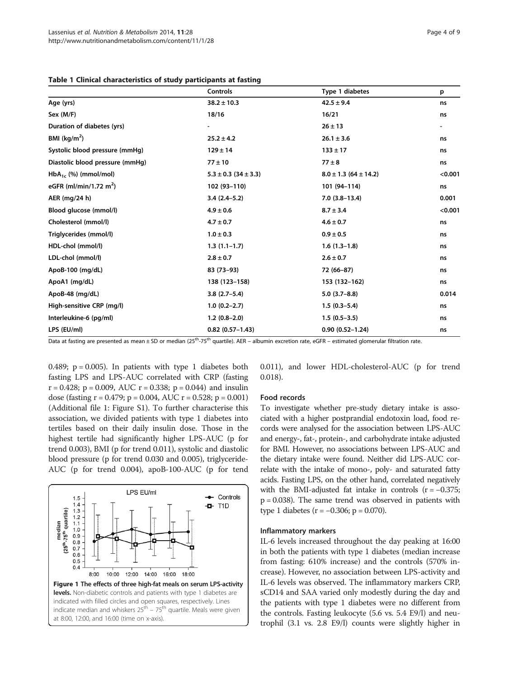<span id="page-3-0"></span>

|                                    | <b>Controls</b>              | Type 1 diabetes               | p       |  |
|------------------------------------|------------------------------|-------------------------------|---------|--|
| Age (yrs)                          | $38.2 \pm 10.3$              | $42.5 \pm 9.4$                | ns      |  |
| Sex (M/F)                          | 18/16                        | 16/21                         | ns      |  |
| Duration of diabetes (yrs)         | $\frac{1}{2}$                | $26 \pm 13$                   | Ξ.      |  |
| BMI ( $\text{kg/m}^2$ )            | $25.2 \pm 4.2$               | $26.1 \pm 3.6$                | ns      |  |
| Systolic blood pressure (mmHq)     | $129 \pm 14$                 | $133 \pm 17$                  | ns      |  |
| Diastolic blood pressure (mmHg)    | $77 \pm 10$                  | $77 \pm 8$                    | ns      |  |
| $HbA_{1c}$ (%) (mmol/mol)          | $5.3 \pm 0.3$ (34 $\pm$ 3.3) | $8.0 \pm 1.3$ (64 $\pm$ 14.2) | < 0.001 |  |
| eGFR (ml/min/1.72 m <sup>2</sup> ) | 102 (93-110)                 | 101 (94-114)                  | ns      |  |
| AER (mg/24 h)                      | $3.4(2.4-5.2)$               | $7.0(3.8-13.4)$               | 0.001   |  |
| Blood glucose (mmol/l)             | $4.9 \pm 0.6$                | $8.7 \pm 3.4$                 | < 0.001 |  |
| Cholesterol (mmol/l)               | $4.7 \pm 0.7$                | $4.6 \pm 0.7$                 | ns      |  |
| Triglycerides (mmol/l)             | $1.0 \pm 0.3$                | $0.9 \pm 0.5$                 | ns      |  |
| HDL-chol (mmol/l)                  | $1.3(1.1-1.7)$               | $1.6(1.3-1.8)$                | ns      |  |
| LDL-chol (mmol/l)                  | $2.8 \pm 0.7$                | $2.6 \pm 0.7$                 | ns      |  |
| ApoB-100 (mg/dL)                   | 83 (73-93)                   | 72 (66-87)                    | ns      |  |
| ApoA1 (mg/dL)                      | 138 (123-158)                | 153 (132-162)                 | ns      |  |
| ApoB-48 (mg/dL)                    | $3.8(2.7-5.4)$               | $5.0(3.7-8.8)$                | 0.014   |  |
| High-sensitive CRP (mg/l)          | $1.0(0.2 - 2.7)$             | $1.5(0.3-5.4)$                | ns      |  |
| Interleukine-6 (pg/ml)             | $1.2(0.8-2.0)$               | $1.5(0.5-3.5)$                | ns      |  |
| LPS (EU/ml)                        | $0.82(0.57 - 1.43)$          | $0.90(0.52 - 1.24)$           | ns      |  |

Data at fasting are presented as mean ± SD or median (25<sup>th</sup>-75<sup>th</sup> quartile). AER – albumin excretion rate, eGFR – estimated glomerular filtration rate.

0.489;  $p = 0.005$ ). In patients with type 1 diabetes both fasting LPS and LPS-AUC correlated with CRP (fasting  $r = 0.428$ ;  $p = 0.009$ , AUC  $r = 0.338$ ;  $p = 0.044$ ) and insulin dose (fasting  $r = 0.479$ ;  $p = 0.004$ , AUC  $r = 0.528$ ;  $p = 0.001$ ) (Additional file [1:](#page-7-0) Figure S1). To further characterise this association, we divided patients with type 1 diabetes into tertiles based on their daily insulin dose. Those in the highest tertile had significantly higher LPS-AUC (p for trend 0.003), BMI (p for trend 0.011), systolic and diastolic blood pressure (p for trend 0.030 and 0.005), triglyceride-AUC (p for trend 0.004), apoB-100-AUC (p for tend



0.011), and lower HDL-cholesterol-AUC (p for trend 0.018).

#### Food records

To investigate whether pre-study dietary intake is associated with a higher postprandial endotoxin load, food records were analysed for the association between LPS-AUC and energy-, fat-, protein-, and carbohydrate intake adjusted for BMI. However, no associations between LPS-AUC and the dietary intake were found. Neither did LPS-AUC correlate with the intake of mono-, poly- and saturated fatty acids. Fasting LPS, on the other hand, correlated negatively with the BMI-adjusted fat intake in controls ( $r = -0.375$ ; p = 0.038). The same trend was observed in patients with type 1 diabetes ( $r = -0.306$ ;  $p = 0.070$ ).

#### Inflammatory markers

IL-6 levels increased throughout the day peaking at 16:00 in both the patients with type 1 diabetes (median increase from fasting: 610% increase) and the controls (570% increase). However, no association between LPS-activity and IL-6 levels was observed. The inflammatory markers CRP, sCD14 and SAA varied only modestly during the day and the patients with type 1 diabetes were no different from the controls. Fasting leukocyte (5.6 vs. 5.4 E9/l) and neutrophil (3.1 vs. 2.8 E9/l) counts were slightly higher in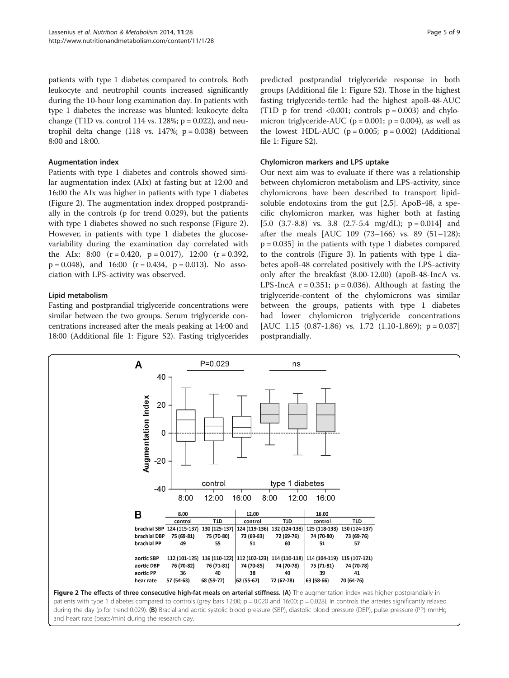patients with type 1 diabetes compared to controls. Both leukocyte and neutrophil counts increased significantly during the 10-hour long examination day. In patients with type 1 diabetes the increase was blunted: leukocyte delta change (T1D vs. control 114 vs. 128%;  $p = 0.022$ ), and neutrophil delta change (118 vs. 147%;  $p = 0.038$ ) between 8:00 and 18:00.

## Augmentation index

Patients with type 1 diabetes and controls showed similar augmentation index (AIx) at fasting but at 12:00 and 16:00 the AIx was higher in patients with type 1 diabetes (Figure 2). The augmentation index dropped postprandially in the controls (p for trend 0.029), but the patients with type 1 diabetes showed no such response (Figure 2). However, in patients with type 1 diabetes the glucosevariability during the examination day correlated with the AIx: 8:00  $(r = 0.420, p = 0.017), 12:00 (r = 0.392,$  $p = 0.048$ , and  $16:00$  ( $r = 0.434$ ,  $p = 0.013$ ). No association with LPS-activity was observed.

## Lipid metabolism

Fasting and postprandial triglyceride concentrations were similar between the two groups. Serum triglyceride concentrations increased after the meals peaking at 14:00 and 18:00 (Additional file [1:](#page-7-0) Figure S2). Fasting triglycerides

predicted postprandial triglyceride response in both groups (Additional file [1:](#page-7-0) Figure S2). Those in the highest fasting triglyceride-tertile had the highest apoB-48-AUC (T1D p for trend  $\langle 0.001$ ; controls  $p = 0.003$ ) and chylomicron triglyceride-AUC ( $p = 0.001$ ;  $p = 0.004$ ), as well as the lowest HDL-AUC ( $p = 0.005$ ;  $p = 0.002$ ) (Additional file [1](#page-7-0): Figure S2).

## Chylomicron markers and LPS uptake

Our next aim was to evaluate if there was a relationship between chylomicron metabolism and LPS-activity, since chylomicrons have been described to transport lipidsoluble endotoxins from the gut [[2](#page-7-0),[5\]](#page-7-0). ApoB-48, a specific chylomicron marker, was higher both at fasting [5.0  $(3.7-8.8)$  vs. 3.8  $(2.7-5.4 \text{ mg/dL})$ ;  $p = 0.014$ ] and after the meals [AUC 109 (73–166) vs. 89 (51–128);  $p = 0.035$ ] in the patients with type 1 diabetes compared to the controls (Figure [3\)](#page-5-0). In patients with type 1 diabetes apoB-48 correlated positively with the LPS-activity only after the breakfast (8.00-12.00) (apoB-48-IncA vs. LPS-IncA  $r = 0.351$ ;  $p = 0.036$ ). Although at fasting the triglyceride-content of the chylomicrons was similar between the groups, patients with type 1 diabetes had lower chylomicron triglyceride concentrations [AUC 1.15  $(0.87-1.86)$  vs. 1.72  $(1.10-1.869)$ ; p = 0.037] postprandially.

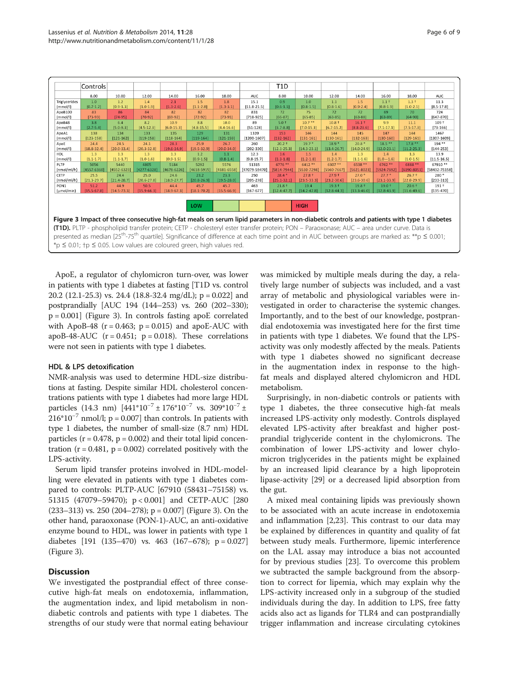<span id="page-5-0"></span>

| Triglycerides<br>(mmol/l)                                                                                                                                                                                                                                                              | 8.00<br>1.0     | 10.00              |                      |                      |                      |                      |                         | T1D                  |                      |                      |                      |                          |                          |                        |
|----------------------------------------------------------------------------------------------------------------------------------------------------------------------------------------------------------------------------------------------------------------------------------------|-----------------|--------------------|----------------------|----------------------|----------------------|----------------------|-------------------------|----------------------|----------------------|----------------------|----------------------|--------------------------|--------------------------|------------------------|
|                                                                                                                                                                                                                                                                                        |                 |                    | 12.00                | 14.00                | 16.00                | 18.00                | AUC                     | 8.00                 | 10.00                | 12.00                | 14.00                | 16.00                    | 18.00                    | AUC                    |
|                                                                                                                                                                                                                                                                                        | $[0.7 - 1.2]$   | 1.2<br>$[0.9-1.3]$ | 1.4<br>$[1.0 - 1.9]$ | 2.1<br>$[1.3 - 2.6]$ | 1.5<br>$[1.1 - 2.8]$ | 1.8<br>$[1.3 - 3.1]$ | 15.1<br>$[11.8 - 21.5]$ | 0.9<br>$[0.6 - 1.1]$ | 1.0<br>$[0.8 - 1.5]$ | 1.1<br>$[0.8 - 1.6]$ | 1.5<br>$[0.9 - 2.4]$ | $1.1 +$<br>$[0.8 - 1.9]$ | $1.3 +$<br>$[1.0 - 2.1]$ | 11.3<br>$[8.5 - 17.8]$ |
| ApoB100                                                                                                                                                                                                                                                                                | 83              | 86                 | 84                   | 82                   | 82                   | 82                   | 831                     | 72                   | 75                   | 72                   | 72                   | 69                       | 70                       | 724                    |
| (mmol/l)                                                                                                                                                                                                                                                                               | $[73 - 93]$     | $[74-95]$          | $[70-92]$            | $[69-92]$            | $[72 - 92]$          | $[73-91]$            | $[718-925]$             | $[66 - 87]$          | $[65 - 85]$          | $[63 - 85]$          | $[63 - 88]$          | $[63 - 89]$              | $[64-90]$                | $[647 - 870]$          |
| ApoB48                                                                                                                                                                                                                                                                                 | 3.8             | 6.4                | 8.2                  | 10.9                 | 8.8                  | 10.0                 | 89                      | $5.0 +$              | $10.7**$             | $10.8 +$             | $16.1 +$             | 9.9                      | 11.1                     | 109 +                  |
| (mmol/l)                                                                                                                                                                                                                                                                               | $[2.7 - 5.4]$   | $[5.0 - 9.3]$      | $[4.5 - 12.3]$       | $[6.0 - 15.3]$       | $[4.8 - 15.5]$       | $[4.4 - 16.6]$       | $[51 - 128]$            | $[3.7 - 8.8]$        | $[7.0 - 15.3]$       | $[6.7 - 15.2]$       | $[8.8 - 23.6]$       | $[7.1 - 17.1]$           | $[7.5 - 17.3]$           | $[73 - 166]$           |
| ApoA1                                                                                                                                                                                                                                                                                  | 138             | 134                | 133                  | 135                  | 129                  | 131                  | 1320                    | 153                  | 146                  | 144                  | 145                  | 147                      | 144                      | 1467                   |
| (mmol/l)                                                                                                                                                                                                                                                                               | $[123 - 158]$   | $[121-162]$        | $[119-158]$          | $[118-164]$          | $[119-164]$          | $[121 - 159]$        | $[1200 - 1607]$         | $[132 - 162]$        | $[131 - 161]$        | $[130 - 161]$        | $[132 - 163]$        | $[130-160]$              | $[129-161]$              | $[1307 - 1609]$        |
| ApoE                                                                                                                                                                                                                                                                                   | 24.4            | 24.5               | 24.1                 | 28.3                 | 25.9                 | 26.7                 | 260                     | $20.2 +$             | $19.7*$              | $18.9*$              | $20.8*$              | $18.5***$                | $17.8***$                | $194**$                |
| (mmol/l)                                                                                                                                                                                                                                                                               | $[18.8 - 32.4]$ | $[20.0 - 33.4]$    | $[20.3 - 32.8]$      | $[19.6 - 34.9]$      | $[19.5 - 32.9]$      | $[20.0 - 34.0]$      | $[202 - 330]$           | $[12.1 - 25.3]$      | $[14.3 - 23.1]$      | $[13.4 - 26.7]$      | $[14.0 - 24.9]$      | $[12.0 - 23.1]$          | $[11.2 - 25.3]$          | $[144 - 253]$          |
| <b>HDL</b>                                                                                                                                                                                                                                                                             | 1.3             | 1.3                | 1.3                  | 1.3                  | 1.2                  | 1.1                  | 12.3                    | 1.6                  | 1.5                  | 1.4                  | 1.3                  | 1.4                      | 1.3                      | 13.9                   |
| (mmol/l)                                                                                                                                                                                                                                                                               | $[1.1 - 1.7]$   | $[1.1 - 1.7]$      | $[1.0 - 1.6]$        | $[0.9 - 1.5]$        | $[0.9 - 1.5]$        | $[0.8 - 1.4]$        | $[9.8 - 15.7]$          | $[1.3 - 1.8]$        | $[1.2 - 1.8]$        | $[1.2 - 1.7]$        | $[1.1 - 1.6]$        | $[1.0 - 1.6]$            | $[1.0 - 1.5]$            | $[11.5 - 16.5]$        |
| PLTP                                                                                                                                                                                                                                                                                   | 5056            | 5440               | 4805                 | 5184                 | 5292                 | 5576                 | 51315                   | 6776 **              | 6412**               | 6307**               | 6538 **              | 6762 **                  | 6888 **                  | 67910**                |
| (mol/ml/h)                                                                                                                                                                                                                                                                             | $[4557 - 6360]$ | $[4552 - 6323]$    | $[4277 - 6328]$      | $[4678 - 6226]$      | $[4618-5915]$        | [4181-6558]          | [47079-59470]           | $[5814 - 7944]$      | [5530-7298]          | $[5560 - 7667]$      | $[5621-8023]$        | [5924-7692               | [6190-8051               | [58432-75158]          |
| CETP                                                                                                                                                                                                                                                                                   | 25.5            | 24.4               | 25.0                 | 24.6                 | 23.2                 | 23.3                 | 250                     | $28.4*$              | $27.8 +$             | $27.9 +$             | $27.0*$              | $27.7*$                  | $26.7 +$                 | 280 *                  |
| (nmol/ml/h)                                                                                                                                                                                                                                                                            | $[21.3 - 29.7]$ | $[21.4 - 28.7]$    | $[20.6 - 27.8]$      | $[18.9 - 27.7]$      | $[20.8 - 26.9]$      | $[19.5 - 28.0]$      | $[205 - 278]$           | $[25.1 - 32.1]$      | $[23.5 - 33.3]$      | $[23.2 - 30.6]$      | $[23.6 - 30.6]$      | $[23.1 - 33.9]$          | $[22.8 - 29.9]$          | $[233 - 313]$          |
| PON <sub>1</sub>                                                                                                                                                                                                                                                                       | 51.2            | 44.9               | 50.5                 | 44.4                 | 45.7                 | 45.7                 | 463                     | $21.8 +$             | 19.4                 | $19.3 +$             | $19.8 +$             | $19.0 +$                 | $20.6 +$                 | 191+                   |
| (µmol/min)                                                                                                                                                                                                                                                                             | $[15.5 - 67.8]$ | $[14.5 - 73.3]$    | $[15.9 - 66.3]$      | $[18.9 - 67.3]$      | $[18.1 - 70.2]$      | $[15.5 - 66.9]$      | $[167 - 677]$           | $[12.4 - 47.7]$      | $[14.2 - 47.8]$      | $[12.8 - 44.3]$      | $[13.3 - 46.0]$      | $[12.8 - 43.9]$          | $[11.6 - 49.6]$          | $[135 - 470]$          |
|                                                                                                                                                                                                                                                                                        |                 |                    |                      |                      | LOW                  |                      |                         |                      | <b>HIGH</b>          |                      |                      |                          |                          |                        |
| Figure 3 Impact of three consecutive high-fat meals on serum lipid parameters in non-diabetic controls and patients with type 1 diabetes<br>(T1D). PLTP - phospholipid transfer protein; CETP - cholesteryl ester transfer protein; PON – Paraoxonase; AUC – area under curve. Data is |                 |                    |                      |                      |                      |                      |                         |                      |                      |                      |                      |                          |                          |                        |
| presented as median $[25^{th} - 75^{th}$ quartile]. Significance of difference at each time point and in AUC between groups are marked as: **p $\leq 0.001$ ;<br>*p $\leq$ 0.01; $tp \leq$ 0.05. Low values are coloured green, high values red.                                       |                 |                    |                      |                      |                      |                      |                         |                      |                      |                      |                      |                          |                          |                        |

ApoE, a regulator of chylomicron turn-over, was lower in patients with type 1 diabetes at fasting [T1D vs. control 20.2 (12.1-25.3) vs. 24.4 (18.8-32.4 mg/dL); p = 0.022] and postprandially [AUC 194 (144–253) vs. 260 (202–330); p = 0.001] (Figure 3). In controls fasting apoE correlated with ApoB-48  $(r = 0.463; p = 0.015)$  and apoE-AUC with apoB-48-AUC  $(r = 0.451; p = 0.018)$ . These correlations were not seen in patients with type 1 diabetes.

## HDL & LPS detoxification

NMR-analysis was used to determine HDL-size distributions at fasting. Despite similar HDL cholesterol concentrations patients with type 1 diabetes had more large HDL particles (14.3 nm)  $[441^*10^{-7} \pm 176^*10^{-7}$  vs. 309\*10<sup>-7</sup> ± 216\*10<sup>-7</sup> nmol/l; p = 0.007] than controls. In patients with type 1 diabetes, the number of small-size (8.7 nm) HDL particles  $(r = 0.478, p = 0.002)$  and their total lipid concentration  $(r = 0.481, p = 0.002)$  correlated positively with the LPS-activity.

Serum lipid transfer proteins involved in HDL-modelling were elevated in patients with type 1 diabetes compared to controls: PLTP-AUC [67910 (58431–75158) vs. 51315 (47079–59470); p < 0.001] and CETP-AUC [280  $(233-313)$  vs. 250  $(204-278)$ ; p = 0.007] (Figure 3). On the other hand, paraoxonase (PON-1)-AUC, an anti-oxidative enzyme bound to HDL, was lower in patients with type 1 diabetes [191 (135–470) vs. 463 (167–678);  $p = 0.027$ ] (Figure 3).

## **Discussion**

We investigated the postprandial effect of three consecutive high-fat meals on endotoxemia, inflammation, the augmentation index, and lipid metabolism in nondiabetic controls and patients with type 1 diabetes. The strengths of our study were that normal eating behaviour

was mimicked by multiple meals during the day, a relatively large number of subjects was included, and a vast array of metabolic and physiological variables were investigated in order to characterise the systemic changes. Importantly, and to the best of our knowledge, postprandial endotoxemia was investigated here for the first time in patients with type 1 diabetes. We found that the LPSactivity was only modestly affected by the meals. Patients with type 1 diabetes showed no significant decrease in the augmentation index in response to the highfat meals and displayed altered chylomicron and HDL metabolism.

Surprisingly, in non-diabetic controls or patients with type 1 diabetes, the three consecutive high-fat meals increased LPS-activity only modestly. Controls displayed elevated LPS-activity after breakfast and higher postprandial triglyceride content in the chylomicrons. The combination of lower LPS-activity and lower chylomicron triglycerides in the patients might be explained by an increased lipid clearance by a high lipoprotein lipase-activity [\[29](#page-8-0)] or a decreased lipid absorption from the gut.

A mixed meal containing lipids was previously shown to be associated with an acute increase in endotoxemia and inflammation [\[2](#page-7-0)[,23](#page-8-0)]. This contrast to our data may be explained by differences in quantity and quality of fat between study meals. Furthermore, lipemic interference on the LAL assay may introduce a bias not accounted for by previous studies [\[23](#page-8-0)]. To overcome this problem we subtracted the sample background from the absorption to correct for lipemia, which may explain why the LPS-activity increased only in a subgroup of the studied individuals during the day. In addition to LPS, free fatty acids also act as ligands for TLR4 and can postprandially trigger inflammation and increase circulating cytokines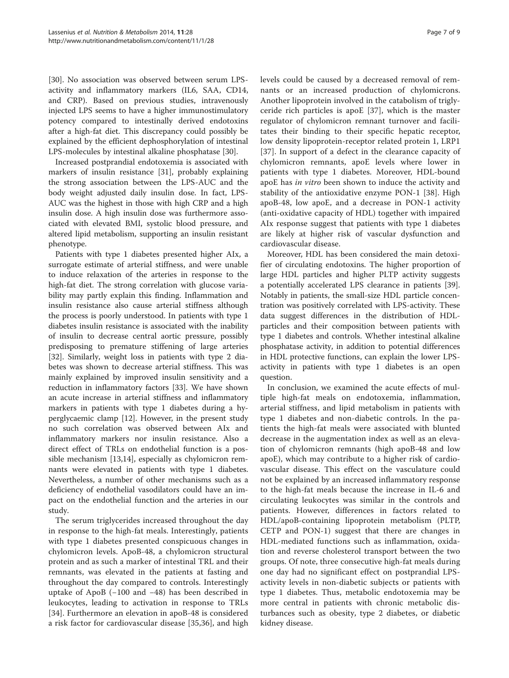[[30\]](#page-8-0). No association was observed between serum LPSactivity and inflammatory markers (IL6, SAA, CD14, and CRP). Based on previous studies, intravenously injected LPS seems to have a higher immunostimulatory potency compared to intestinally derived endotoxins after a high-fat diet. This discrepancy could possibly be explained by the efficient dephosphorylation of intestinal LPS-molecules by intestinal alkaline phosphatase [[30](#page-8-0)].

Increased postprandial endotoxemia is associated with markers of insulin resistance [\[31\]](#page-8-0), probably explaining the strong association between the LPS-AUC and the body weight adjusted daily insulin dose. In fact, LPS-AUC was the highest in those with high CRP and a high insulin dose. A high insulin dose was furthermore associated with elevated BMI, systolic blood pressure, and altered lipid metabolism, supporting an insulin resistant phenotype.

Patients with type 1 diabetes presented higher AIx, a surrogate estimate of arterial stiffness, and were unable to induce relaxation of the arteries in response to the high-fat diet. The strong correlation with glucose variability may partly explain this finding. Inflammation and insulin resistance also cause arterial stiffness although the process is poorly understood. In patients with type 1 diabetes insulin resistance is associated with the inability of insulin to decrease central aortic pressure, possibly predisposing to premature stiffening of large arteries [[32\]](#page-8-0). Similarly, weight loss in patients with type 2 diabetes was shown to decrease arterial stiffness. This was mainly explained by improved insulin sensitivity and a reduction in inflammatory factors [[33](#page-8-0)]. We have shown an acute increase in arterial stiffness and inflammatory markers in patients with type 1 diabetes during a hyperglycaemic clamp [\[12](#page-7-0)]. However, in the present study no such correlation was observed between AIx and inflammatory markers nor insulin resistance. Also a direct effect of TRLs on endothelial function is a possible mechanism [[13,14\]](#page-7-0), especially as chylomicron remnants were elevated in patients with type 1 diabetes. Nevertheless, a number of other mechanisms such as a deficiency of endothelial vasodilators could have an impact on the endothelial function and the arteries in our study.

The serum triglycerides increased throughout the day in response to the high-fat meals. Interestingly, patients with type 1 diabetes presented conspicuous changes in chylomicron levels. ApoB-48, a chylomicron structural protein and as such a marker of intestinal TRL and their remnants, was elevated in the patients at fasting and throughout the day compared to controls. Interestingly uptake of ApoB (−100 and −48) has been described in leukocytes, leading to activation in response to TRLs [[34\]](#page-8-0). Furthermore an elevation in apoB-48 is considered a risk factor for cardiovascular disease [\[35,36](#page-8-0)], and high levels could be caused by a decreased removal of remnants or an increased production of chylomicrons. Another lipoprotein involved in the catabolism of triglyceride rich particles is apoE [\[37](#page-8-0)], which is the master regulator of chylomicron remnant turnover and facilitates their binding to their specific hepatic receptor, low density lipoprotein-receptor related protein 1, LRP1 [[37\]](#page-8-0). In support of a defect in the clearance capacity of chylomicron remnants, apoE levels where lower in patients with type 1 diabetes. Moreover, HDL-bound apoE has in vitro been shown to induce the activity and stability of the antioxidative enzyme PON-1 [[38\]](#page-8-0). High apoB-48, low apoE, and a decrease in PON-1 activity (anti-oxidative capacity of HDL) together with impaired AIx response suggest that patients with type 1 diabetes are likely at higher risk of vascular dysfunction and cardiovascular disease.

Moreover, HDL has been considered the main detoxifier of circulating endotoxins. The higher proportion of large HDL particles and higher PLTP activity suggests a potentially accelerated LPS clearance in patients [\[39](#page-8-0)]. Notably in patients, the small-size HDL particle concentration was positively correlated with LPS-activity. These data suggest differences in the distribution of HDLparticles and their composition between patients with type 1 diabetes and controls. Whether intestinal alkaline phosphatase activity, in addition to potential differences in HDL protective functions, can explain the lower LPSactivity in patients with type 1 diabetes is an open question.

In conclusion, we examined the acute effects of multiple high-fat meals on endotoxemia, inflammation, arterial stiffness, and lipid metabolism in patients with type 1 diabetes and non-diabetic controls. In the patients the high-fat meals were associated with blunted decrease in the augmentation index as well as an elevation of chylomicron remnants (high apoB-48 and low apoE), which may contribute to a higher risk of cardiovascular disease. This effect on the vasculature could not be explained by an increased inflammatory response to the high-fat meals because the increase in IL-6 and circulating leukocytes was similar in the controls and patients. However, differences in factors related to HDL/apoB-containing lipoprotein metabolism (PLTP, CETP and PON-1) suggest that there are changes in HDL-mediated functions such as inflammation, oxidation and reverse cholesterol transport between the two groups. Of note, three consecutive high-fat meals during one day had no significant effect on postprandial LPSactivity levels in non-diabetic subjects or patients with type 1 diabetes. Thus, metabolic endotoxemia may be more central in patients with chronic metabolic disturbances such as obesity, type 2 diabetes, or diabetic kidney disease.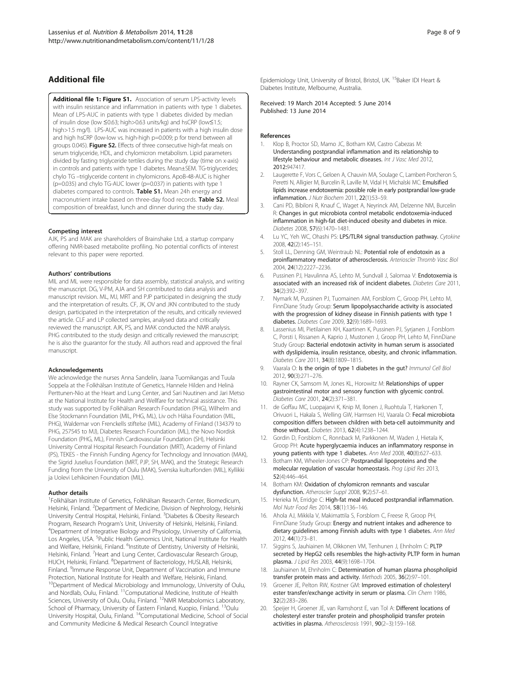## <span id="page-7-0"></span>Additional file

[Additional file 1: Figure S1.](http://www.biomedcentral.com/content/supplementary/1743-7075-11-28-S1.docx) Association of serum LPS-activity levels with insulin resistance and inflammation in patients with type 1 diabetes. Mean of LPS-AUC in patients with type 1 diabetes divided by median of insulin dose (low ≤0.63; high>0.63 units/kg) and hsCRP (low≤1.5; high>1.5 mg/l). LPS-AUC was increased in patients with a high insulin dose and high hsCRP (low-low vs. high-high p=0.009; p for trend between all groups 0.045). Figure S2. Effects of three consecutive high-fat meals on serum triglyceride, HDL, and chylomicron metabolism. Lipid parameters divided by fasting triglyceride tertiles during the study day (time on x-axis) in controls and patients with type 1 diabetes. Mean±SEM. TG-triglycerides; chylo TG –triglyceride content in chylomicrons. ApoB-48-AUC is higher (p=0.035) and chylo TG-AUC lower (p=0.037) in patients with type 1 diabetes compared to controls. Table S1. Mean 24h energy and macronutrient intake based on three-day food records. Table S2. Meal composition of breakfast, lunch and dinner during the study day.

#### Competing interest

AJK, PS and MAK are shareholders of Brainshake Ltd, a startup company offering NMR-based metabolite profiling. No potential conflicts of interest relevant to this paper were reported.

#### Authors' contributions

MIL and ML were responsible for data assembly, statistical analysis, and writing the manuscript. DG, V-PM, AJA and SH contributed to data analysis and manuscript revision. ML, MJ, MRT and PJP participated in designing the study and the interpretation of results. CF, JK, OV and JKN contributed to the study design, participated in the interpretation of the results, and critically reviewed the article. CLF and LP collected samples, analysed data and critically reviewed the manuscript. AJK, PS, and MAK conducted the NMR analysis. PHG contributed to the study design and critically reviewed the manuscript; he is also the guarantor for the study. All authors read and approved the final manuscript.

#### Acknowledgements

We acknowledge the nurses Anna Sandelin, Jaana Tuomikangas and Tuula Soppela at the Folkhälsan Institute of Genetics, Hannele Hilden and Helinä Perttunen-Nio at the Heart and Lung Center, and Sari Nuutinen and Jari Metso at the National Institute for Health and Wellfare for technical assistance. This study was supported by Folkhälsan Research Foundation (PHG), Wilhelm and Else Stockmann Foundation (MIL, PHG, ML), Liv och Hälsa Foundation (MIL, PHG), Waldemar von Frenckells stiftelse (MIL), Academy of Finland (134379 to PHG, 257545 to MJ), Diabetes Research Foundation (ML), the Novo Nordisk Foundation (PHG, ML), Finnish Cardiovascular Foundation (SH), Helsinki University Central Hospital Research Foundation (MRT), Academy of Finland (PS), TEKES - the Finnish Funding Agency for Technology and Innovation (MAK), the Sigrid Juselius Foundation (MRT, PJP, SH, MAK), and the Strategic Research Funding from the University of Oulu (MAK), Svenska kulturfonden (MIL), Kyllikki ja Uolevi Lehikoinen Foundation (MIL).

#### Author details

<sup>1</sup>Folkhälsan Institute of Genetics, Folkhälsan Research Center, Biomedicum, Helsinki, Finland. <sup>2</sup>Department of Medicine, Division of Nephrology, Helsinki University Central Hospital, Helsinki, Finland. <sup>3</sup>Diabetes & Obesity Research Program, Research Program's Unit, University of Helsinki, Helsinki, Finland. <sup>4</sup> <sup>4</sup>Department of Integrative Biology and Physiology, University of California, Los Angeles, USA. <sup>5</sup>Public Health Genomics Unit, National Institute for Health and Welfare, Helsinki, Finland. <sup>6</sup>Institute of Dentistry, University of Helsinki, Helsinki, Finland. <sup>7</sup> Heart and Lung Center, Cardiovascular Research Group, HUCH, Helsinki, Finland. <sup>8</sup>Department of Bacteriology, HUSLAB, Helsinki, Finland. <sup>9</sup>Immune Response Unit, Department of Vaccination and Immune Protection, National Institute for Health and Welfare, Helsinki, Finland.

<sup>10</sup>Department of Medical Microbiology and Immunology, University of Oulu, and Nordlab, Oulu, Finland. <sup>11</sup>Computational Medicine, Institute of Health Sciences, University of Oulu, Oulu, Finland. <sup>12</sup>NMR Metabolomics Laboratory, School of Pharmacy, University of Eastern Finland, Kuopio, Finland. <sup>13</sup>Oulu University Hospital, Oulu, Finland. 14Computational Medicine, School of Social and Community Medicine & Medical Research Council Integrative

Epidemiology Unit, University of Bristol, Bristol, UK. <sup>15</sup>Baker IDI Heart & Diabetes Institute, Melbourne, Australia.

Received: 19 March 2014 Accepted: 5 June 2014 Published: 13 June 2014

#### References

- Klop B, Proctor SD, Mamo JC, Botham KM, Castro Cabezas M: Understanding postprandial inflammation and its relationship to lifestyle behaviour and metabolic diseases. Int J Vasc Med 2012, 2012:947417.
- 2. Laugerette F, Vors C, Geloen A, Chauvin MA, Soulage C, Lambert-Porcheron S, Peretti N, Alligier M, Burcelin R, Laville M, Vidal H, Michalski MC: Emulsified lipids increase endotoxemia: possible role in early postprandial low-grade inflammation. J Nutr Biochem 2011, 22(1):53–59.
- 3. Cani PD, Bibiloni R, Knauf C, Waget A, Neyrinck AM, Delzenne NM, Burcelin R: Changes in gut microbiota control metabolic endotoxemia-induced inflammation in high-fat diet-induced obesity and diabetes in mice. Diabetes 2008, 57(6):1470–1481.
- 4. Lu YC, Yeh WC, Ohashi PS: LPS/TLR4 signal transduction pathway. Cytokine 2008, 42(2):145–151.
- 5. Stoll LL, Denning GM, Weintraub NL: Potential role of endotoxin as a proinflammatory mediator of atherosclerosis. Arterioscler Thromb Vasc Biol 2004, 24(12):2227–2236.
- Pussinen PJ, Havulinna AS, Lehto M, Sundvall J, Salomaa V: Endotoxemia is associated with an increased risk of incident diabetes. Diabetes Care 2011, 34(2):392–397.
- 7. Nymark M, Pussinen PJ, Tuomainen AM, Forsblom C, Groop PH, Lehto M, FinnDiane Study Group: Serum lipopolysaccharide activity is associated with the progression of kidney disease in Finnish patients with type 1 diabetes. Diabetes Care 2009, 32(9):1689–1693.
- 8. Lassenius MI, Pietilainen KH, Kaartinen K, Pussinen PJ, Syrjanen J, Forsblom C, Porsti I, Rissanen A, Kaprio J, Mustonen J, Groop PH, Lehto M, FinnDiane Study Group: Bacterial endotoxin activity in human serum is associated with dyslipidemia, insulin resistance, obesity, and chronic inflammation. Diabetes Care 2011, 34(8):1809–1815.
- 9. Vaarala O: Is the origin of type 1 diabetes in the gut? Immunol Cell Biol 2012, 90(3):271–276.
- 10. Rayner CK, Samsom M, Jones KL, Horowitz M: Relationships of upper gastrointestinal motor and sensory function with glycemic control. Diabetes Care 2001, 24(2):371–381.
- 11. de Goffau MC, Luopajarvi K, Knip M, Ilonen J, Ruohtula T, Harkonen T, Orivuori L, Hakala S, Welling GW, Harmsen HJ, Vaarala O: Fecal microbiota composition differs between children with beta-cell autoimmunity and those without. Diabetes 2013, 62(4):1238–1244.
- 12. Gordin D, Forsblom C, Ronnback M, Parkkonen M, Waden J, Hietala K, Groop PH: Acute hyperglycaemia induces an inflammatory response in young patients with type 1 diabetes. Ann Med 2008, 40(8):627–633.
- 13. Botham KM, Wheeler-Jones CP: Postprandial lipoproteins and the molecular regulation of vascular homeostasis. Prog Lipid Res 2013, 52(4):446–464.
- 14. Botham KM: Oxidation of chylomicron remnants and vascular dysfunction. Atheroscler Suppl 2008, 9(2):57–61.
- 15. Herieka M, Erridge C: High-fat meal induced postprandial inflammation. Mol Nutr Food Res 2014, 58(1):136–146.
- 16. Ahola AJ, Mikkila V, Makimattila S, Forsblom C, Freese R, Groop PH, FinnDiane Study Group: Energy and nutrient intakes and adherence to dietary guidelines among Finnish adults with type 1 diabetes. Ann Med 2012, 44(1):73–81.
- 17. Siggins S, Jauhiainen M, Olkkonen VM, Tenhunen J, Ehnholm C: PLTP secreted by HepG2 cells resembles the high-activity PLTP form in human plasma. J Lipid Res 2003, 44(9):1698–1704.
- 18. Jauhiainen M, Ehnholm C: Determination of human plasma phospholipid transfer protein mass and activity. Methods 2005, 36(2):97–101.
- 19. Groener JE, Pelton RW, Kostner GM: Improved estimation of cholesteryl ester transfer/exchange activity in serum or plasma. Clin Chem 1986, 32(2):283–286.
- 20. Speijer H, Groener JE, van Ramshorst E, van Tol A: Different locations of cholesteryl ester transfer protein and phospholipid transfer protein activities in plasma. Atherosclerosis 1991, 90(2–3):159–168.